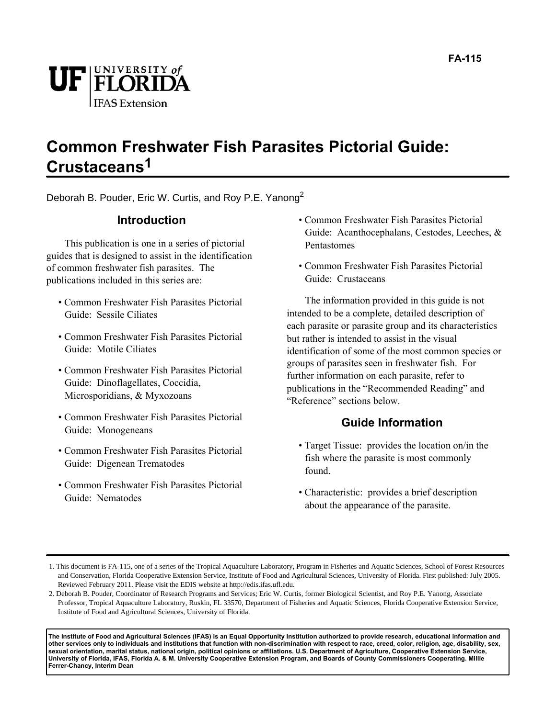

# **Common Freshwater Fish Parasites Pictorial Guide: Crustaceans1**

Deborah B. Pouder, Eric W. Curtis, and Roy P.E. Yanong<sup>2</sup>

# **Introduction**

This publication is one in a series of pictorial guides that is designed to assist in the identification of common freshwater fish parasites. The publications included in this series are:

- Common Freshwater Fish Parasites Pictorial Guide: Sessile Ciliates
- Common Freshwater Fish Parasites Pictorial Guide: Motile Ciliates
- Common Freshwater Fish Parasites Pictorial Guide: Dinoflagellates, Coccidia, Microsporidians, & Myxozoans
- Common Freshwater Fish Parasites Pictorial Guide: Monogeneans
- Common Freshwater Fish Parasites Pictorial Guide: Digenean Trematodes
- Common Freshwater Fish Parasites Pictorial Guide: Nematodes
- Common Freshwater Fish Parasites Pictorial Guide: Acanthocephalans, Cestodes, Leeches, & Pentastomes
- Common Freshwater Fish Parasites Pictorial Guide: Crustaceans

The information provided in this guide is not intended to be a complete, detailed description of each parasite or parasite group and its characteristics but rather is intended to assist in the visual identification of some of the most common species or groups of parasites seen in freshwater fish. For further information on each parasite, refer to publications in the "Recommended Reading" and "Reference" sections below.

# **Guide Information**

- Target Tissue: provides the location on/in the fish where the parasite is most commonly found.
- Characteristic: provides a brief description about the appearance of the parasite.

**The Institute of Food and Agricultural Sciences (IFAS) is an Equal Opportunity Institution authorized to provide research, educational information and other services only to individuals and institutions that function with non-discrimination with respect to race, creed, color, religion, age, disability, sex, sexual orientation, marital status, national origin, political opinions or affiliations. U.S. Department of Agriculture, Cooperative Extension Service, University of Florida, IFAS, Florida A. & M. University Cooperative Extension Program, and Boards of County Commissioners Cooperating. Millie Ferrer-Chancy, Interim Dean**

<sup>1.</sup> This document is FA-115, one of a series of the Tropical Aquaculture Laboratory, Program in Fisheries and Aquatic Sciences, School of Forest Resources and Conservation, Florida Cooperative Extension Service, Institute of Food and Agricultural Sciences, University of Florida. First published: July 2005. Reviewed February 2011. Please visit the EDIS website at http://edis.ifas.ufl.edu.

<sup>2.</sup> Deborah B. Pouder, Coordinator of Research Programs and Services; Eric W. Curtis, former Biological Scientist, and Roy P.E. Yanong, Associate Professor, Tropical Aquaculture Laboratory, Ruskin, FL 33570, Department of Fisheries and Aquatic Sciences, Florida Cooperative Extension Service, Institute of Food and Agricultural Sciences, University of Florida.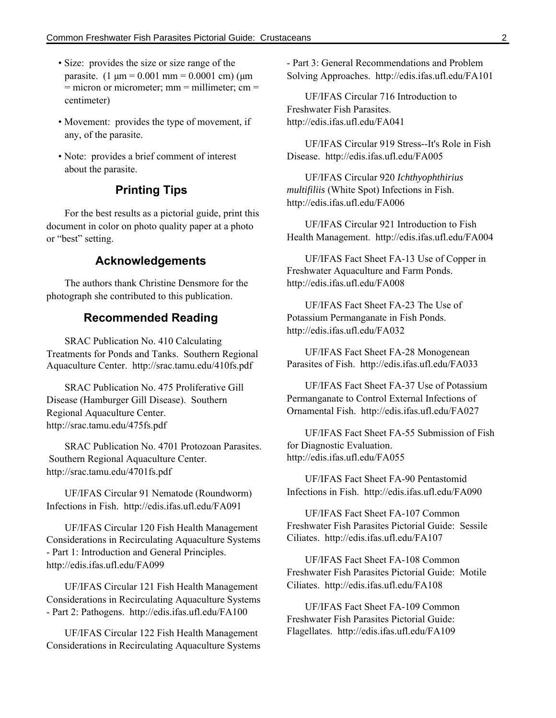- Size: provides the size or size range of the parasite.  $(1 \text{ µm} = 0.001 \text{ mm} = 0.0001 \text{ cm})$  ( $\text{µm}$ )  $=$  micron or micrometer; mm  $=$  millimeter; cm  $=$ centimeter)
- Movement: provides the type of movement, if any, of the parasite.
- Note: provides a brief comment of interest about the parasite.

## **Printing Tips**

For the best results as a pictorial guide, print this document in color on photo quality paper at a photo or "best" setting.

# **Acknowledgements**

The authors thank Christine Densmore for the photograph she contributed to this publication.

### **Recommended Reading**

SRAC Publication No. 410 Calculating Treatments for Ponds and Tanks. Southern Regional Aquaculture Center. http://srac.tamu.edu/410fs.pdf

SRAC Publication No. 475 Proliferative Gill Disease (Hamburger Gill Disease). Southern Regional Aquaculture Center. http://srac.tamu.edu/475fs.pdf

SRAC Publication No. 4701 Protozoan Parasites. Southern Regional Aquaculture Center. http://srac.tamu.edu/4701fs.pdf

UF/IFAS Circular 91 Nematode (Roundworm) Infections in Fish. http://edis.ifas.ufl.edu/FA091

UF/IFAS Circular 120 Fish Health Management Considerations in Recirculating Aquaculture Systems - Part 1: Introduction and General Principles. http://edis.ifas.ufl.edu/FA099

UF/IFAS Circular 121 Fish Health Management Considerations in Recirculating Aquaculture Systems - Part 2: Pathogens. http://edis.ifas.ufl.edu/FA100

UF/IFAS Circular 122 Fish Health Management Considerations in Recirculating Aquaculture Systems - Part 3: General Recommendations and Problem Solving Approaches. http://edis.ifas.ufl.edu/FA101

UF/IFAS Circular 716 Introduction to Freshwater Fish Parasites. http://edis.ifas.ufl.edu/FA041

UF/IFAS Circular 919 Stress--It's Role in Fish Disease. http://edis.ifas.ufl.edu/FA005

UF/IFAS Circular 920 *Ichthyophthirius multifiliis* (White Spot) Infections in Fish. http://edis.ifas.ufl.edu/FA006

UF/IFAS Circular 921 Introduction to Fish Health Management. http://edis.ifas.ufl.edu/FA004

UF/IFAS Fact Sheet FA-13 Use of Copper in Freshwater Aquaculture and Farm Ponds. http://edis.ifas.ufl.edu/FA008

UF/IFAS Fact Sheet FA-23 The Use of Potassium Permanganate in Fish Ponds. http://edis.ifas.ufl.edu/FA032

UF/IFAS Fact Sheet FA-28 Monogenean Parasites of Fish. http://edis.ifas.ufl.edu/FA033

UF/IFAS Fact Sheet FA-37 Use of Potassium Permanganate to Control External Infections of Ornamental Fish. http://edis.ifas.ufl.edu/FA027

UF/IFAS Fact Sheet FA-55 Submission of Fish for Diagnostic Evaluation. http://edis.ifas.ufl.edu/FA055

UF/IFAS Fact Sheet FA-90 Pentastomid Infections in Fish. http://edis.ifas.ufl.edu/FA090

UF/IFAS Fact Sheet FA-107 Common Freshwater Fish Parasites Pictorial Guide: Sessile Ciliates. http://edis.ifas.ufl.edu/FA107

UF/IFAS Fact Sheet FA-108 Common Freshwater Fish Parasites Pictorial Guide: Motile Ciliates. http://edis.ifas.ufl.edu/FA108

UF/IFAS Fact Sheet FA-109 Common Freshwater Fish Parasites Pictorial Guide: Flagellates. http://edis.ifas.ufl.edu/FA109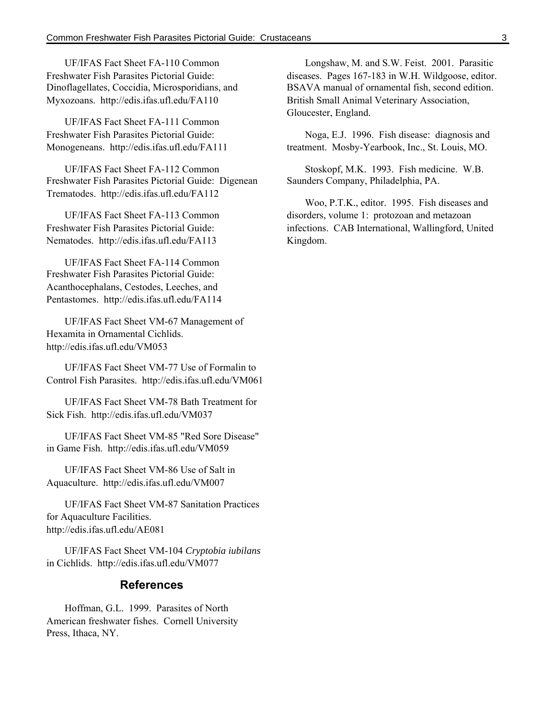UF/IFAS Fact Sheet FA-110 Common Freshwater Fish Parasites Pictorial Guide: Dinoflagellates, Coccidia, Microsporidians, and Myxozoans. http://edis.ifas.ufl.edu/FA110

UF/IFAS Fact Sheet FA-111 Common Freshwater Fish Parasites Pictorial Guide: Monogeneans. http://edis.ifas.ufl.edu/FA111

UF/IFAS Fact Sheet FA-112 Common Freshwater Fish Parasites Pictorial Guide: Digenean Trematodes. http://edis.ifas.ufl.edu/FA112

UF/IFAS Fact Sheet FA-113 Common Freshwater Fish Parasites Pictorial Guide: Nematodes. http://edis.ifas.ufl.edu/FA113

UF/IFAS Fact Sheet FA-114 Common Freshwater Fish Parasites Pictorial Guide: Acanthocephalans, Cestodes, Leeches, and Pentastomes. http://edis.ifas.ufl.edu/FA114

UF/IFAS Fact Sheet VM-67 Management of Hexamita in Ornamental Cichlids. http://edis.ifas.ufl.edu/VM053

UF/IFAS Fact Sheet VM-77 Use of Formalin to Control Fish Parasites. http://edis.ifas.ufl.edu/VM061

UF/IFAS Fact Sheet VM-78 Bath Treatment for Sick Fish. http://edis.ifas.ufl.edu/VM037

UF/IFAS Fact Sheet VM-85 "Red Sore Disease" in Game Fish. http://edis.ifas.ufl.edu/VM059

UF/IFAS Fact Sheet VM-86 Use of Salt in Aquaculture. http://edis.ifas.ufl.edu/VM007

UF/IFAS Fact Sheet VM-87 Sanitation Practices for Aquaculture Facilities. http://edis.ifas.ufl.edu/AE081

UF/IFAS Fact Sheet VM-104 *Cryptobia iubilans* in Cichlids. http://edis.ifas.ufl.edu/VM077

### **References**

Hoffman, G.L. 1999. Parasites of North American freshwater fishes. Cornell University Press, Ithaca, NY.

Longshaw, M. and S.W. Feist. 2001. Parasitic diseases. Pages 167-183 in W.H. Wildgoose, editor. BSAVA manual of ornamental fish, second edition. British Small Animal Veterinary Association, Gloucester, England.

Noga, E.J. 1996. Fish disease: diagnosis and treatment. Mosby-Yearbook, Inc., St. Louis, MO.

Stoskopf, M.K. 1993. Fish medicine. W.B. Saunders Company, Philadelphia, PA.

Woo, P.T.K., editor. 1995. Fish diseases and disorders, volume 1: protozoan and metazoan infections. CAB International, Wallingford, United Kingdom.